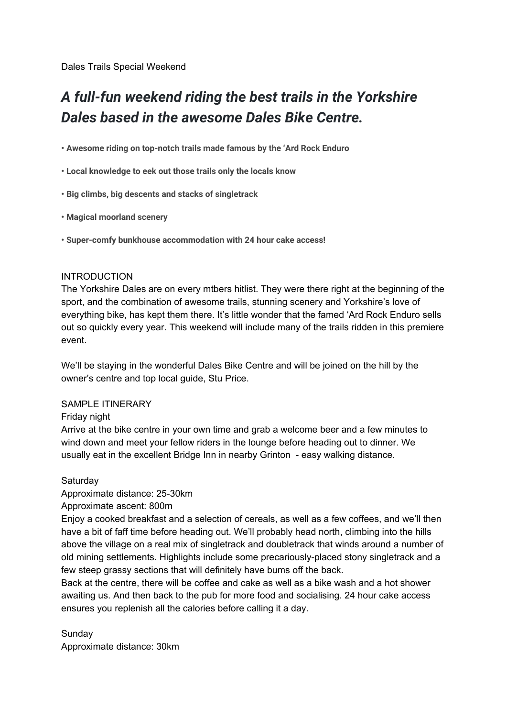Dales Trails Special Weekend

# *A full-fun weekend riding the best trails in the Yorkshire Dales based in the awesome Dales Bike Centre.*

**• Awesome riding on top-notch trails made famous by the 'Ard Rock Enduro**

**• Local knowledge to eek out those trails only the locals know**

**• Big climbs, big descents and stacks of singletrack**

**• Magical moorland scenery**

**• Super-comfy bunkhouse accommodation with 24 hour cake access!**

#### INTRODUCTION

The Yorkshire Dales are on every mtbers hitlist. They were there right at the beginning of the sport, and the combination of awesome trails, stunning scenery and Yorkshire's love of everything bike, has kept them there. It's little wonder that the famed 'Ard Rock Enduro sells out so quickly every year. This weekend will include many of the trails ridden in this premiere event.

We'll be staying in the wonderful Dales Bike Centre and will be joined on the hill by the owner's centre and top local guide, Stu Price.

#### SAMPLE ITINERARY

Friday night

Arrive at the bike centre in your own time and grab a welcome beer and a few minutes to wind down and meet your fellow riders in the lounge before heading out to dinner. We usually eat in the excellent Bridge Inn in nearby Grinton - easy walking distance.

#### Saturday

Approximate distance: 25-30km

Approximate ascent: 800m

Enjoy a cooked breakfast and a selection of cereals, as well as a few coffees, and we'll then have a bit of faff time before heading out. We'll probably head north, climbing into the hills above the village on a real mix of singletrack and doubletrack that winds around a number of old mining settlements. Highlights include some precariously-placed stony singletrack and a few steep grassy sections that will definitely have bums off the back.

Back at the centre, there will be coffee and cake as well as a bike wash and a hot shower awaiting us. And then back to the pub for more food and socialising. 24 hour cake access ensures you replenish all the calories before calling it a day.

Sunday

Approximate distance: 30km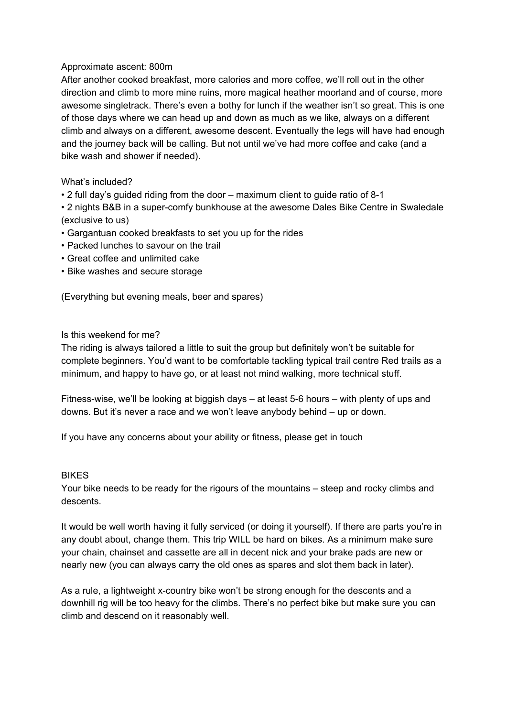### Approximate ascent: 800m

After another cooked breakfast, more calories and more coffee, we'll roll out in the other direction and climb to more mine ruins, more magical heather moorland and of course, more awesome singletrack. There's even a bothy for lunch if the weather isn't so great. This is one of those days where we can head up and down as much as we like, always on a different climb and always on a different, awesome descent. Eventually the legs will have had enough and the journey back will be calling. But not until we've had more coffee and cake (and a bike wash and shower if needed).

# What's included?

• 2 full day's guided riding from the door – maximum client to guide ratio of 8-1

• 2 nights B&B in a super-comfy bunkhouse at the awesome Dales Bike Centre in Swaledale (exclusive to us)

- Gargantuan cooked breakfasts to set you up for the rides
- Packed lunches to savour on the trail
- Great coffee and unlimited cake
- Bike washes and secure storage

(Everything but evening meals, beer and spares)

## Is this weekend for me?

The riding is always tailored a little to suit the group but definitely won't be suitable for complete beginners. You'd want to be comfortable tackling typical trail centre Red trails as a minimum, and happy to have go, or at least not mind walking, more technical stuff.

Fitness-wise, we'll be looking at biggish days – at least 5-6 hours – with plenty of ups and downs. But it's never a race and we won't leave anybody behind – up or down.

If you have any concerns about your ability or fitness, please get in touch

#### BIKES

Your bike needs to be ready for the rigours of the mountains – steep and rocky climbs and descents.

It would be well worth having it fully serviced (or doing it yourself). If there are parts you're in any doubt about, change them. This trip WILL be hard on bikes. As a minimum make sure your chain, chainset and cassette are all in decent nick and your brake pads are new or nearly new (you can always carry the old ones as spares and slot them back in later).

As a rule, a lightweight x-country bike won't be strong enough for the descents and a downhill rig will be too heavy for the climbs. There's no perfect bike but make sure you can climb and descend on it reasonably well.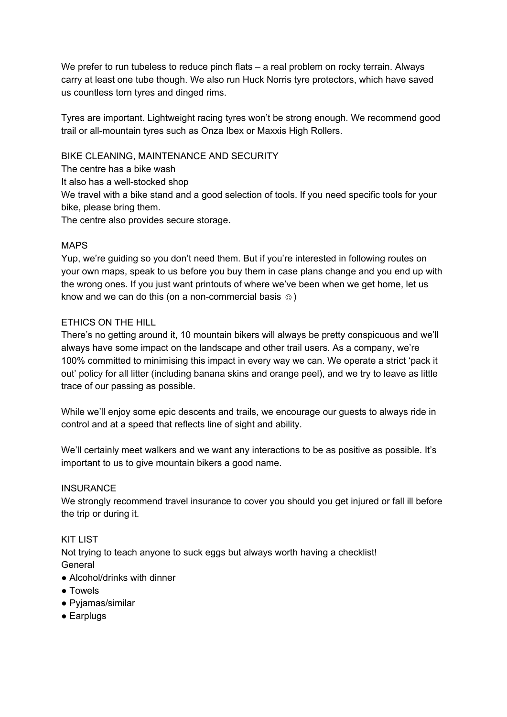We prefer to run tubeless to reduce pinch flats – a real problem on rocky terrain. Always carry at least one tube though. We also run Huck Norris tyre protectors, which have saved us countless torn tyres and dinged rims.

Tyres are important. Lightweight racing tyres won't be strong enough. We recommend good trail or all-mountain tyres such as Onza Ibex or Maxxis High Rollers.

BIKE CLEANING, MAINTENANCE AND SECURITY

The centre has a bike wash

It also has a well-stocked shop

We travel with a bike stand and a good selection of tools. If you need specific tools for your bike, please bring them.

The centre also provides secure storage.

## MAPS

Yup, we're guiding so you don't need them. But if you're interested in following routes on your own maps, speak to us before you buy them in case plans change and you end up with the wrong ones. If you just want printouts of where we've been when we get home, let us know and we can do this (on a non-commercial basis  $\odot$ )

# ETHICS ON THE HILL

There's no getting around it, 10 mountain bikers will always be pretty conspicuous and we'll always have some impact on the landscape and other trail users. As a company, we're 100% committed to minimising this impact in every way we can. We operate a strict 'pack it out' policy for all litter (including banana skins and orange peel), and we try to leave as little trace of our passing as possible.

While we'll enjoy some epic descents and trails, we encourage our guests to always ride in control and at a speed that reflects line of sight and ability.

We'll certainly meet walkers and we want any interactions to be as positive as possible. It's important to us to give mountain bikers a good name.

#### **INSURANCE**

We strongly recommend travel insurance to cover you should you get injured or fall ill before the trip or during it.

#### KIT LIST

Not trying to teach anyone to suck eggs but always worth having a checklist! **General** 

- Alcohol/drinks with dinner
- Towels
- Pyjamas/similar
- Earplugs